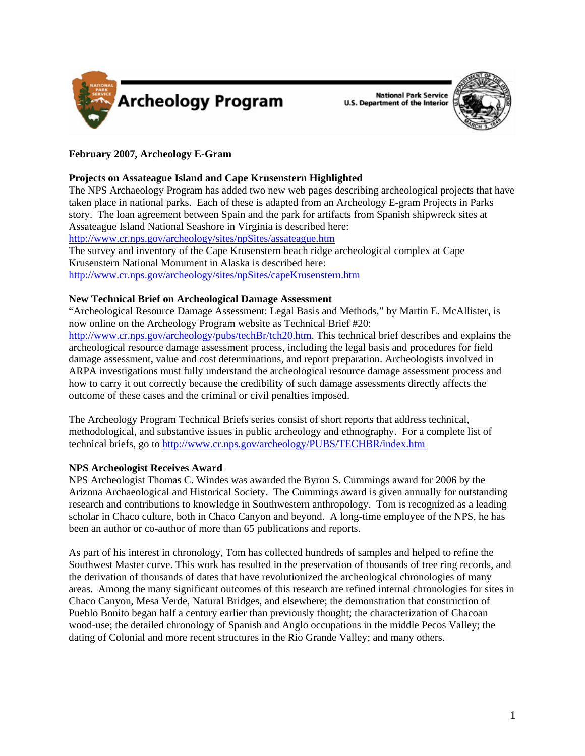

**National Park Service U.S. Department of the Interior** 



# **February 2007, Archeology E-Gram**

# **Projects on Assateague Island and Cape Krusenstern Highlighted**

The NPS Archaeology Program has added two new web pages describing archeological projects that have taken place in national parks. Each of these is adapted from an Archeology E-gram Projects in Parks story. The loan agreement between Spain and the park for artifacts from Spanish shipwreck sites at Assateague Island National Seashore in Virginia is described here:

<http://www.cr.nps.gov/archeology/sites/npSites/assateague.htm>

The survey and inventory of the Cape Krusenstern beach ridge archeological complex at Cape Krusenstern National Monument in Alaska is described here: <http://www.cr.nps.gov/archeology/sites/npSites/capeKrusenstern.htm>

## **New Technical Brief on Archeological Damage Assessment**

"Archeological Resource Damage Assessment: Legal Basis and Methods," by Martin E. McAllister, is now online on the Archeology Program website as Technical Brief #20:

<http://www.cr.nps.gov/archeology/pubs/techBr/tch20.htm>. This technical brief describes and explains the archeological resource damage assessment process, including the legal basis and procedures for field damage assessment, value and cost determinations, and report preparation. Archeologists involved in ARPA investigations must fully understand the archeological resource damage assessment process and how to carry it out correctly because the credibility of such damage assessments directly affects the outcome of these cases and the criminal or civil penalties imposed.

The Archeology Program Technical Briefs series consist of short reports that address technical, methodological, and substantive issues in public archeology and ethnography. For a complete list of technical briefs, go to<http://www.cr.nps.gov/archeology/PUBS/TECHBR/index.htm>

## **NPS Archeologist Receives Award**

NPS Archeologist Thomas C. Windes was awarded the Byron S. Cummings award for 2006 by the Arizona Archaeological and Historical Society. The Cummings award is given annually for outstanding research and contributions to knowledge in Southwestern anthropology. Tom is recognized as a leading scholar in Chaco culture, both in Chaco Canyon and beyond. A long-time employee of the NPS, he has been an author or co-author of more than 65 publications and reports.

As part of his interest in chronology, Tom has collected hundreds of samples and helped to refine the Southwest Master curve. This work has resulted in the preservation of thousands of tree ring records, and the derivation of thousands of dates that have revolutionized the archeological chronologies of many areas. Among the many significant outcomes of this research are refined internal chronologies for sites in Chaco Canyon, Mesa Verde, Natural Bridges, and elsewhere; the demonstration that construction of Pueblo Bonito began half a century earlier than previously thought; the characterization of Chacoan wood-use; the detailed chronology of Spanish and Anglo occupations in the middle Pecos Valley; the dating of Colonial and more recent structures in the Rio Grande Valley; and many others.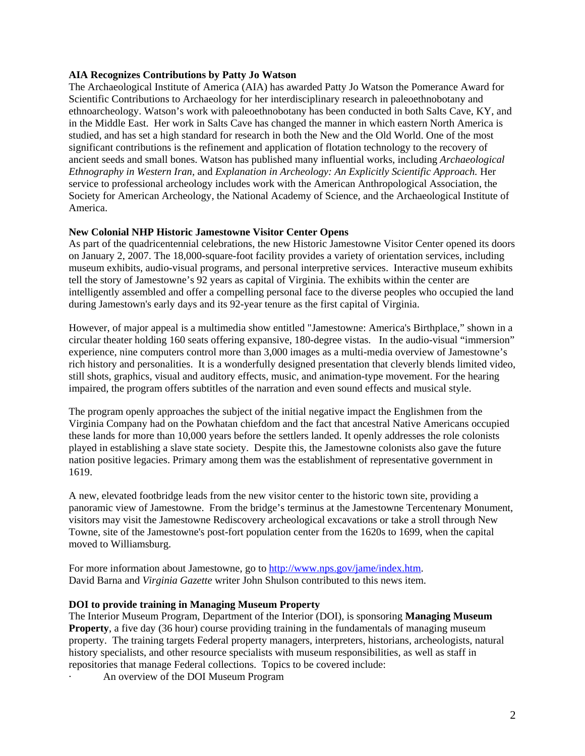#### **AIA Recognizes Contributions by Patty Jo Watson**

The Archaeological Institute of America (AIA) has awarded Patty Jo Watson the Pomerance Award for Scientific Contributions to Archaeology for her interdisciplinary research in paleoethnobotany and ethnoarcheology. Watson's work with paleoethnobotany has been conducted in both Salts Cave, KY, and in the Middle East. Her work in Salts Cave has changed the manner in which eastern North America is studied, and has set a high standard for research in both the New and the Old World. One of the most significant contributions is the refinement and application of flotation technology to the recovery of ancient seeds and small bones. Watson has published many influential works, including *Archaeological Ethnography in Western Iran,* and *Explanation in Archeology: An Explicitly Scientific Approach.* Her service to professional archeology includes work with the American Anthropological Association, the Society for American Archeology, the National Academy of Science, and the Archaeological Institute of America.

#### **New Colonial NHP Historic Jamestowne Visitor Center Opens**

As part of the quadricentennial celebrations, the new Historic Jamestowne Visitor Center opened its doors on January 2, 2007. The 18,000-square-foot facility provides a variety of orientation services, including museum exhibits, audio-visual programs, and personal interpretive services. Interactive museum exhibits tell the story of Jamestowne's 92 years as capital of Virginia. The exhibits within the center are intelligently assembled and offer a compelling personal face to the diverse peoples who occupied the land during Jamestown's early days and its 92-year tenure as the first capital of Virginia.

However, of major appeal is a multimedia show entitled "Jamestowne: America's Birthplace," shown in a circular theater holding 160 seats offering expansive, 180-degree vistas. In the audio-visual "immersion" experience, nine computers control more than 3,000 images as a multi-media overview of Jamestowne's rich history and personalities. It is a wonderfully designed presentation that cleverly blends limited video, still shots, graphics, visual and auditory effects, music, and animation-type movement. For the hearing impaired, the program offers subtitles of the narration and even sound effects and musical style.

The program openly approaches the subject of the initial negative impact the Englishmen from the Virginia Company had on the Powhatan chiefdom and the fact that ancestral Native Americans occupied these lands for more than 10,000 years before the settlers landed. It openly addresses the role colonists played in establishing a slave state society. Despite this, the Jamestowne colonists also gave the future nation positive legacies. Primary among them was the establishment of representative government in 1619.

A new, elevated footbridge leads from the new visitor center to the historic town site, providing a panoramic view of Jamestowne. From the bridge's terminus at the Jamestowne Tercentenary Monument, visitors may visit the Jamestowne Rediscovery archeological excavations or take a stroll through New Towne, site of the Jamestowne's post-fort population center from the 1620s to 1699, when the capital moved to Williamsburg.

For more information about Jamestowne, go to [http://www.nps.gov/jame/index.htm.](http://www.nps.gov/jame/index.htm) David Barna and *Virginia Gazette* writer John Shulson contributed to this news item.

#### **DOI to provide training in Managing Museum Property**

The Interior Museum Program, Department of the Interior (DOI), is sponsoring **Managing Museum Property**, a five day (36 hour) course providing training in the fundamentals of managing museum property. The training targets Federal property managers, interpreters, historians, archeologists, natural history specialists, and other resource specialists with museum responsibilities, as well as staff in repositories that manage Federal collections. Topics to be covered include:

· An overview of the DOI Museum Program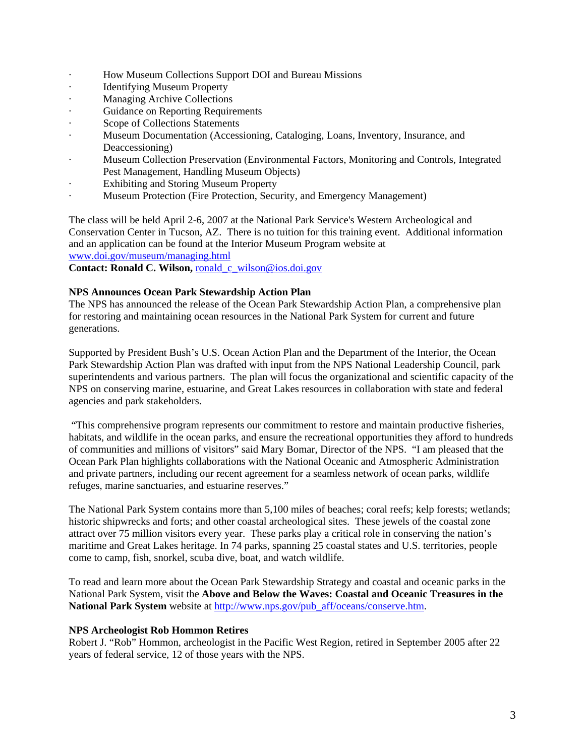- · How Museum Collections Support DOI and Bureau Missions
- · Identifying Museum Property
- Managing Archive Collections
- Guidance on Reporting Requirements
- · Scope of Collections Statements
- · Museum Documentation (Accessioning, Cataloging, Loans, Inventory, Insurance, and Deaccessioning)
- · Museum Collection Preservation (Environmental Factors, Monitoring and Controls, Integrated Pest Management, Handling Museum Objects)
- · Exhibiting and Storing Museum Property
- · Museum Protection (Fire Protection, Security, and Emergency Management)

The class will be held April 2-6, 2007 at the National Park Service's Western Archeological and Conservation Center in Tucson, AZ. There is no tuition for this training event. Additional information and an application can be found at the Interior Museum Program website at <www.doi.gov/museum/managing.html>

**Contact: Ronald C. Wilson,** ronald\_c\_wilson@ios.doi.gov

### **NPS Announces Ocean Park Stewardship Action Plan**

The NPS has announced the release of the Ocean Park Stewardship Action Plan, a comprehensive plan for restoring and maintaining ocean resources in the National Park System for current and future generations.

Supported by President Bush's U.S. Ocean Action Plan and the Department of the Interior, the Ocean Park Stewardship Action Plan was drafted with input from the NPS National Leadership Council, park superintendents and various partners. The plan will focus the organizational and scientific capacity of the NPS on conserving marine, estuarine, and Great Lakes resources in collaboration with state and federal agencies and park stakeholders.

 "This comprehensive program represents our commitment to restore and maintain productive fisheries, habitats, and wildlife in the ocean parks, and ensure the recreational opportunities they afford to hundreds of communities and millions of visitors" said Mary Bomar, Director of the NPS. "I am pleased that the Ocean Park Plan highlights collaborations with the National Oceanic and Atmospheric Administration and private partners, including our recent agreement for a seamless network of ocean parks, wildlife refuges, marine sanctuaries, and estuarine reserves."

The National Park System contains more than 5,100 miles of beaches; coral reefs; kelp forests; wetlands; historic shipwrecks and forts; and other coastal archeological sites. These jewels of the coastal zone attract over 75 million visitors every year. These parks play a critical role in conserving the nation's maritime and Great Lakes heritage. In 74 parks, spanning 25 coastal states and U.S. territories, people come to camp, fish, snorkel, scuba dive, boat, and watch wildlife.

To read and learn more about the Ocean Park Stewardship Strategy and coastal and oceanic parks in the National Park System, visit the **Above and Below the Waves: Coastal and Oceanic Treasures in the National Park System** website at [http://www.nps.gov/pub\\_aff/oceans/conserve.htm](http://www.nps.gov/pub_aff/oceans/conserve.htm).

#### **NPS Archeologist Rob Hommon Retires**

Robert J. "Rob" Hommon, archeologist in the Pacific West Region, retired in September 2005 after 22 years of federal service, 12 of those years with the NPS.